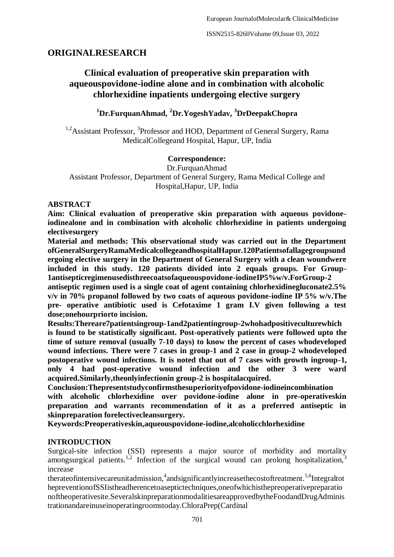# **ORIGINALRESEARCH**

# **Clinical evaluation of preoperative skin preparation with aqueouspovidone-iodine alone and in combination with alcoholic chlorhexidine inpatients undergoing elective surgery**

**<sup>1</sup>Dr.FurquanAhmad, <sup>2</sup>Dr.YogeshYadav, <sup>3</sup>DrDeepakChopra**

<sup>1,2</sup> Assistant Professor, <sup>3</sup> Professor and HOD, Department of General Surgery, Rama MedicalCollegeand Hospital, Hapur, UP, India

### **Correspondence:**

Dr.FurquanAhmad Assistant Professor, Department of General Surgery, Rama Medical College and Hospital,Hapur, UP, India

### **ABSTRACT**

**Aim: Clinical evaluation of preoperative skin preparation with aqueous povidoneiodinealone and in combination with alcoholic chlorhexidine in patients undergoing electivesurgery**

**Material and methods: This observational study was carried out in the Department ofGeneralSurgeryRamaMedicalcollegeandhospitalHapur.120Patientsofallagegroupsund ergoing elective surgery in the Department of General Surgery with a clean woundwere included in this study. 120 patients divided into 2 equals groups. For Group-1antisepticregimenusedisthreecoatsofaqueouspovidone-iodineIP5%w/v.ForGroup-2** 

**antiseptic regimen used is a single coat of agent containing chlorhexidinegluconate2.5% v/v in 70% propanol followed by two coats of aqueous povidone-iodine IP 5% w/v.The pre- operative antibiotic used is Cefotaxime 1 gram I.V given following a test dose;onehourpriorto incision.**

**Results:Thereare7patientsingroup-1and2patientingroup-2whohadpositiveculturewhich is found to be statistically significant. Post-operatively patients were followed upto the time of suture removal (usually 7-10 days) to know the percent of cases whodeveloped wound infections. There were 7 cases in group-1 and 2 case in group-2 whodeveloped postoperative wound infections. It is noted that out of 7 cases with growth ingroup-1, only 4 had post-operative wound infection and the other 3 were ward acquired.Similarly,theonlyinfectionin group-2 is hospitalacquired.**

**Conclusion:Thepresentstudyconfirmsthesuperiorityofpovidone-iodineincombination with alcoholic chlorhexidine over povidone-iodine alone in pre-operativeskin preparation and warrants recommendation of it as a preferred antiseptic in skinpreparation forelectivecleansurgery.**

**Keywords:Preoperativeskin,aqueouspovidone-iodine,alcoholicchlorhexidine**

### **INTRODUCTION**

Surgical-site infection (SSI) represents a major source of morbidity and mortality amongsurgical patients.<sup>1,2</sup> Infection of the surgical wound can prolong hospitalization,  $\overline{3}$ increase

therateofintensivecareunitadmission,<sup>4</sup>andsignificantlyincreasethecostoftreatment.<sup>5,6</sup>Integraltot hepreventionofSSIistheadherencetoaseptictechniques,oneofwhichisthepreoperativepreparatio noftheoperativesite.SeveralskinpreparationmodalitiesareapprovedbytheFoodandDrugAdminis trationandareinuseinoperatingroomstoday.ChloraPrep(Cardinal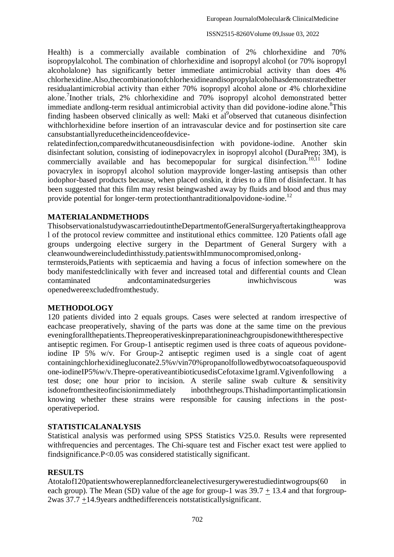Health) is a commercially available combination of 2% chlorhexidine and 70% isopropylalcohol. The combination of chlorhexidine and isopropyl alcohol (or 70% isopropyl alcoholalone) has significantly better immediate antimicrobial activity than does 4% chlorhexidine.Also,thecombinationofchlorhexidineandisopropylalcoholhasdemonstratedbetter residualantimicrobial activity than either 70% isopropyl alcohol alone or 4% chlorhexidine alone.<sup>7</sup> Inother trials, 2% chlorhexidine and 70% isopropyl alcohol demonstrated better immediate andlong-term residual antimicrobial activity than did povidone-iodine alone.<sup>8</sup>This finding hasbeen observed clinically as well: Maki et al<sup>9</sup>observed that cutaneous disinfection withchlorhexidine before insertion of an intravascular device and for postinsertion site care cansubstantiallyreducetheincidenceofdevice-

relatedinfection,comparedwithcutaneousdisinfection with povidone-iodine. Another skin disinfectant solution, consisting of iodinepovacrylex in isopropyl alcohol (DuraPrep; 3M), is commercially available and has become popular for surgical disinfection.<sup>10,11</sup> Iodine povacrylex in isopropyl alcohol solution mayprovide longer-lasting antisepsis than other iodophor-based products because, when placed onskin, it dries to a film of disinfectant. It has been suggested that this film may resist beingwashed away by fluids and blood and thus may provide potential for longer-term protectionthant raditional povidone-iodine.<sup>12</sup>

### **MATERIALANDMETHODS**

ThisobservationalstudywascarriedoutintheDepartmentofGeneralSurgeryaftertakingtheapprova l of the protocol review committee and institutional ethics committee. 120 Patients ofall age groups undergoing elective surgery in the Department of General Surgery with a cleanwoundwereincludedinthisstudy.patientswithImmunocompromised,onlong-

termsteroids,Patients with septicaemia and having a focus of infection somewhere on the body manifestedclinically with fever and increased total and differential counts and Clean contaminated andcontaminatedsurgeries inwhichviscous was openedwereexcludedfromthestudy.

### **METHODOLOGY**

120 patients divided into 2 equals groups. Cases were selected at random irrespective of eachcase preoperatively, shaving of the parts was done at the same time on the previous eveningforallthepatients.Thepreoperativeskinpreparationineachgroupisdonewiththerespective antiseptic regimen. For Group-1 antiseptic regimen used is three coats of aqueous povidoneiodine IP 5% w/v. For Group-2 antiseptic regimen used is a single coat of agent containingchlorhexidinegluconate2.5%v/vin70%propanolfollowedbytwocoatsofaqueouspovid one-iodineIP5%w/v.Thepre-operativeantibioticusedisCefotaxime1gramI.Vgivenfollowing a test dose; one hour prior to incision. A sterile saline swab culture & sensitivity isdonefromthesiteofincisionimmediately inboththegroups.Thishadimportantimplicationsin knowing whether these strains were responsible for causing infections in the postoperativeperiod.

### **STATISTICALANALYSIS**

Statistical analysis was performed using SPSS Statistics V25.0. Results were represented withfrequencies and percentages. The Chi-square test and Fischer exact test were applied to findsignificance.P<0.05 was considered statistically significant.

### **RESULTS**

Atotalof120patientswhowereplannedforcleanelectivesurgerywerestudiedintwogroups(60 in each group). The Mean (SD) value of the age for group-1 was  $39.7 + 13.4$  and that forgroup-2was 37.7 +14.9years andthedifferenceis notstatisticallysignificant.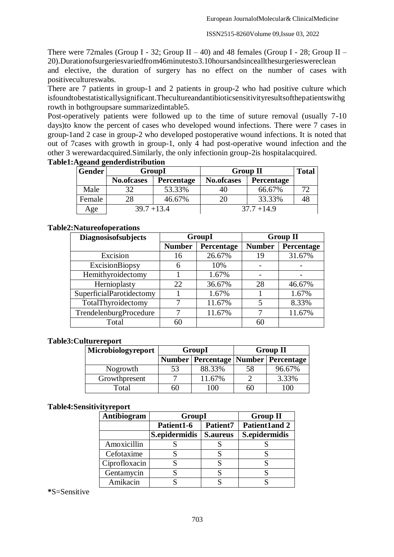There were 72males (Group I - 32; Group II – 40) and 48 females (Group I - 28; Group II – 20).Durationofsurgeriesvariedfrom46minutesto3.10hoursandsinceallthesurgerieswereclean

and elective, the duration of surgery has no effect on the number of cases with positivecultureswabs.

There are 7 patients in group-1 and 2 patients in group-2 who had positive culture which isfoundtobestatisticallysignificant.Thecultureandantibioticsensitivityresultsofthepatientswithg rowth in bothgroupsare summarizedintable5.

Post-operatively patients were followed up to the time of suture removal (usually 7-10 days)to know the percent of cases who developed wound infections. There were 7 cases in group-1and 2 case in group-2 who developed postoperative wound infections. It is noted that out of 7cases with growth in group-1, only 4 had post-operative wound infection and the other 3 werewardacquired.Similarly, the only infectionin group-2is hospitalacquired.

| Gender | GroupI            |                   | <b>Group II</b>   | <b>Total</b>      |    |
|--------|-------------------|-------------------|-------------------|-------------------|----|
|        | <b>No.ofcases</b> | <b>Percentage</b> | <b>No.ofcases</b> | <b>Percentage</b> |    |
| Male   | 32                | 53.33%            | 40                | 66.67%            |    |
| Female | 28                | 46.67%            | 20                | 33.33%            | 48 |
| Age    | $39.7 + 13.4$     |                   |                   | $37.7 + 14.9$     |    |

### **Table1:Ageand genderdistribution**

## **Table2:Natureofoperations**

| <b>Diagnosisofsubjects</b> | GroupI        |            | <b>Group II</b> |            |
|----------------------------|---------------|------------|-----------------|------------|
|                            | <b>Number</b> | Percentage | <b>Number</b>   | Percentage |
| Excision                   | 16            | 26.67%     | 19              | 31.67%     |
| ExcisionBiopsy             | 6             | 10%        |                 |            |
| Hemithyroidectomy          |               | 1.67%      |                 |            |
| Hernioplasty               | 22            | 36.67%     | 28              | 46.67%     |
| SuperficialParotidectomy   |               | 1.67%      |                 | 1.67%      |
| TotalThyroidectomy         |               | 11.67%     | 5               | 8.33%      |
| TrendelenburgProcedure     |               | 11.67%     |                 | 11.67%     |
| Total                      | 60            |            | 60              |            |

### **Table3:Culturereport**

| Microbiologyreport |    | GroupI                                    | <b>Group II</b> |        |  |
|--------------------|----|-------------------------------------------|-----------------|--------|--|
|                    |    | Number   Percentage   Number   Percentage |                 |        |  |
| Nogrowth           | 53 | 88.33%                                    | 58              | 96.67% |  |
| Growthpresent      |    | 11.67%                                    |                 | 3.33%  |  |
| Total              | 60 | $_{00}$                                   | 60              | 100    |  |

### **Table4:Sensitivityreport**

| Antibiogram   | <b>GroupI</b> | <b>Group II</b> |                      |
|---------------|---------------|-----------------|----------------------|
|               | Patient1-6    | <b>Patient7</b> | <b>Patient1and 2</b> |
|               | S.epidermidis | <b>S.aureus</b> | S.epidermidis        |
| Amoxicillin   |               |                 |                      |
| Cefotaxime    |               |                 |                      |
| Ciprofloxacin |               |                 |                      |
| Gentamycin    |               |                 |                      |
| Amikacin      |               |                 |                      |

### **\***S=Sensitive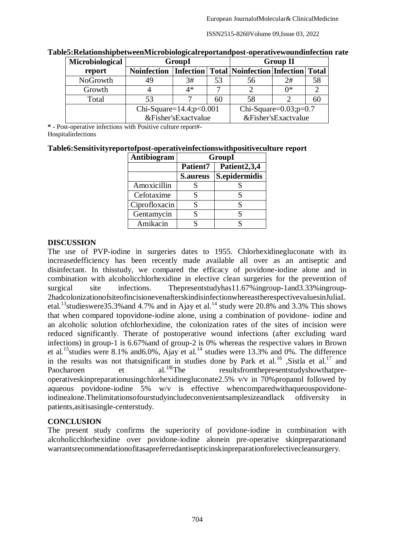ISSN2515-8260Volume 09,Issue 03, 2022

| Microbiological | GroupI                         |      |    |                                                            | <b>Group II</b>     |    |
|-----------------|--------------------------------|------|----|------------------------------------------------------------|---------------------|----|
| report          | <b>Noinfection</b>             |      |    | <b>Infection   Total   Noinfection   Infection   Total</b> |                     |    |
| NoGrowth        | 49                             | 3#   | 53 | 56                                                         | 2#                  | 58 |
| Growth          |                                | $4*$ |    |                                                            | ∩*                  |    |
| Total           | 53                             |      | 60 | 58                                                         |                     | 60 |
|                 | Chi-Square= $14.4$ ; $p<0.001$ |      |    | Chi-Square= $0.03$ ; $p=0.7$                               |                     |    |
|                 | &Fisher'sExactvalue            |      |    |                                                            | &Fisher'sExactvalue |    |

#### **Table5:RelationshipbetweenMicrobiologicalreportandpost-operativewoundinfection rate**

**\* -** Post-operative infections with Positive culture report#- **Hospitalinfections** 

#### **Table6:Sensitivityreportofpost-operativeinfectionswithpositiveculture report**

| Antibiogram   | <b>GroupI</b>   |                          |  |  |
|---------------|-----------------|--------------------------|--|--|
|               | Patient7        | Patient <sub>2,3,4</sub> |  |  |
|               | <b>S.aureus</b> | S.epidermidis            |  |  |
| Amoxicillin   |                 |                          |  |  |
| Cefotaxime    |                 |                          |  |  |
| Ciprofloxacin | S               |                          |  |  |
| Gentamycin    |                 |                          |  |  |
| Amikacin      |                 |                          |  |  |

#### **DISCUSSION**

The use of PVP-iodine in surgeries dates to 1955. Chlorhexidinegluconate with its increasedefficiency has been recently made available all over as an antiseptic and disinfectant. In thisstudy, we compared the efficacy of povidone-iodine alone and in combination with alcoholicchlorhexidine in elective clean surgeries for the prevention of surgical site infections. Thepresentstudyhas11.67% ingroup-1and3.33% ingroup-2hadcolonizationofsiteofincisionevenafterskindisinfectionwhereastherespectivevaluesinJuliaL etal.<sup>13</sup>studieswere35.3% and 4.7% and in Ajay et al.<sup>14</sup> study were 20.8% and 3.3% This shows that when compared topovidone-iodine alone, using a combination of povidone- iodine and an alcoholic solution ofchlorhexidine, the colonization rates of the sites of incision were reduced significantly. Therate of postoperative wound infections (after excluding ward infections) in group-1 is 6.67%and of group-2 is 0% whereas the respective values in Brown et al.<sup>15</sup>studies were 8.1% and 6.0%, Ajay et al.<sup>14</sup> studies were 13.3% and 0%. The difference in the results was not thatsignificant in studies done by Park et al.<sup>16</sup> ,Sistla et al.<sup>17</sup> and<br>Paocharoen et al.<sup>18[</sup>The resultsfrom the presentstudy show that pre-Paocharoen et al.<sup>18</sup>[The resultsfromthepresentstudyshowthatpreoperativeskinpreparationusingchlorhexidinegluconate2.5% v/v in 70%propanol followed by aqueous povidone-iodine 5% w/v is effective whencomparedwithaqueouspovidoneiodinealone.Thelimitationsofourstudyincludeconvenientsamplesizeandlack ofdiversity in patients,asitisasingle-centerstudy.

### **CONCLUSION**

The present study confirms the superiority of povidone-iodine in combination with alcoholicchlorhexidine over povidone-iodine alonein pre-operative skinpreparationand warrantsrecommendationofitasapreferredantisepticinskinpreparationforelectivecleansurgery.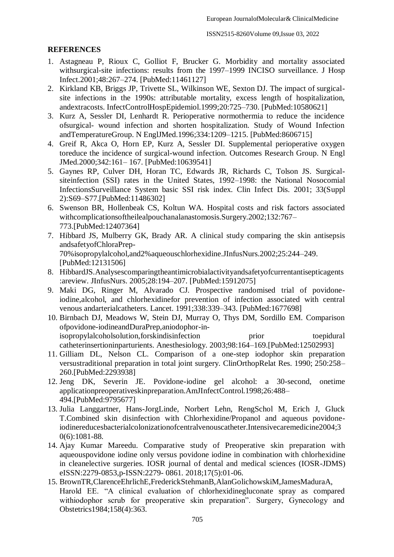## **REFERENCES**

- 1. Astagneau P, Rioux C, Golliot F, Brucker G. Morbidity and mortality associated withsurgical-site infections: results from the 1997–1999 INCISO surveillance. J Hosp Infect.2001;48:267–274. [PubMed:11461127]
- 2. Kirkland KB, Briggs JP, Trivette SL, Wilkinson WE, Sexton DJ. The impact of surgicalsite infections in the 1990s: attributable mortality, excess length of hospitalization, andextracosts. InfectControlHospEpidemiol.1999;20:725–730. [PubMed:10580621]
- 3. Kurz A, Sessler DI, Lenhardt R. Perioperative normothermia to reduce the incidence ofsurgical- wound infection and shorten hospitalization. Study of Wound Infection andTemperatureGroup. N EnglJMed.1996;334:1209–1215. [PubMed:8606715]
- 4. Greif R, Akca O, Horn EP, Kurz A, Sessler DI. Supplemental perioperative oxygen toreduce the incidence of surgical-wound infection. Outcomes Research Group. N Engl JMed.2000;342:161– 167. [PubMed:10639541]
- 5. Gaynes RP, Culver DH, Horan TC, Edwards JR, Richards C, Tolson JS. Surgicalsiteinfection (SSI) rates in the United States, 1992–1998: the National Nosocomial InfectionsSurveillance System basic SSI risk index. Clin Infect Dis. 2001; 33(Suppl 2):S69–S77.[PubMed:11486302]
- 6. Swenson BR, Hollenbeak CS, Koltun WA. Hospital costs and risk factors associated withcomplicationsoftheilealpouchanalanastomosis.Surgery.2002;132:767– 773.[PubMed:12407364]
- 7. Hibbard JS, Mulberry GK, Brady AR. A clinical study comparing the skin antisepsis andsafetyofChloraPrep-70%isopropylalcohol,and2%aqueouschlorhexidine.JInfusNurs.2002;25:244–249. [PubMed:12131506]
- 8. HibbardJS.Analysescomparingtheantimicrobialactivityandsafetyofcurrentantisepticagents :areview. JInfusNurs. 2005;28:194–207. [PubMed:15912075]
- 9. Maki DG, Ringer M, Alvarado CJ. Prospective randomised trial of povidoneiodine,alcohol, and chlorhexidinefor prevention of infection associated with central venous andarterialcatheters. Lancet. 1991;338:339–343. [PubMed:1677698]
- 10. Birnbach DJ, Meadows W, Stein DJ, Murray O, Thys DM, Sordillo EM. Comparison ofpovidone-iodineandDuraPrep,aniodophor-inisopropylalcoholsolution,forskindisinfection prior toepidural catheterinsertioninparturients. Anesthesiology. 2003;98:164–169.[PubMed:12502993]
- 11. Gilliam DL, Nelson CL. Comparison of a one-step iodophor skin preparation versustraditional preparation in total joint surgery. ClinOrthopRelat Res. 1990; 250:258– 260.[PubMed:2293938]
- 12. Jeng DK, Severin JE. Povidone-iodine gel alcohol: a 30-second, onetime applicationpreoperativeskinpreparation.AmJInfectControl.1998;26:488– 494.[PubMed:9795677]
- 13. Julia Langgartner, Hans-JorgLinde, Norbert Lehn, RengSchol M, Erich J, Gluck T.Combined skin disinfection with Chlorhexidine/Propanol and aqueous povidoneiodinereducesbacterialcolonizationofcentralvenouscatheter.Intensivecaremedicine2004;3 0(6):1081-88.
- 14. Ajay Kumar Mareedu. Comparative study of Preoperative skin preparation with aqueouspovidone iodine only versus povidone iodine in combination with chlorhexidine in cleanelective surgeries. IOSR journal of dental and medical sciences (IOSR-JDMS) eISSN:2279-0853,p-ISSN:2279- 0861. 2018;17(5):01-06.
- 15. BrownTR,ClarenceEhrlichE,FrederickStehmanB,AlanGolichowskiM,JamesMaduraA, Harold EE. "A clinical evaluation of chlorhexidinegluconate spray as compared withiodophor scrub for preoperative skin preparation". Surgery, Gynecology and Obstetrics1984;158(4):363.